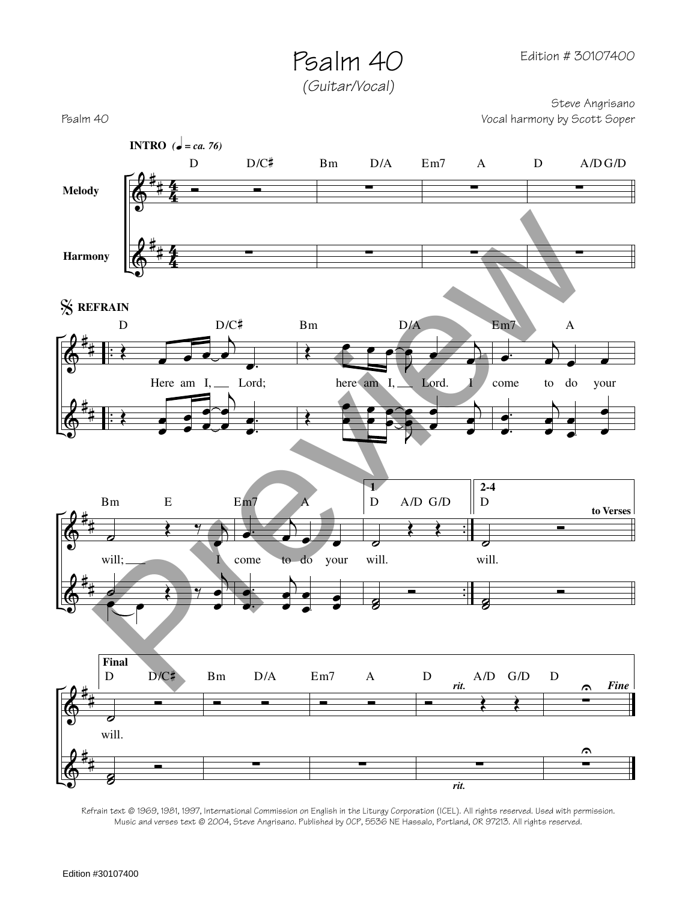Edition # 30107400

Psalm 40

*(Guitar/Vocal)*

Steve Angrisano Psalm 40 Vocal harmony by Scott Soper



Refrain text © 1969, 1981, 1997, International Commission on English in the Liturgy Corporation (ICEL). All rights reserved. Used with permission. Music and verses text © 2004, Steve Angrisano. Published by OCP, 5536 NE Hassalo, Portland, OR 97213. All rights reserved.